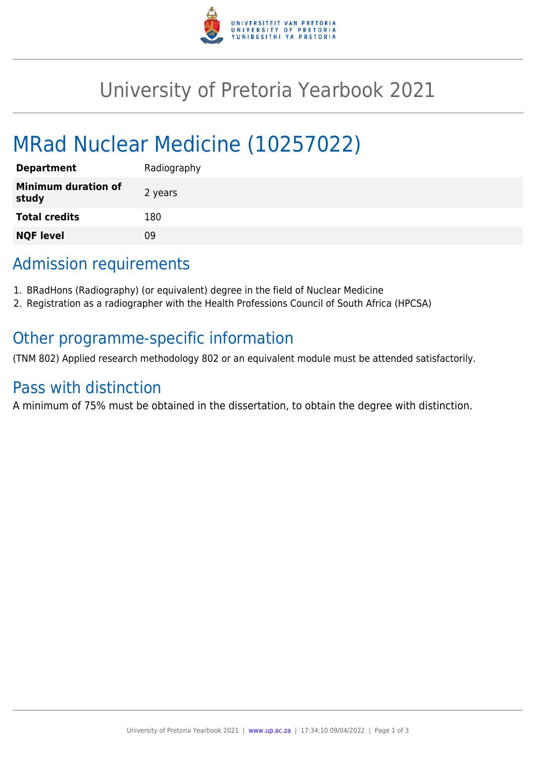

# University of Pretoria Yearbook 2021

# MRad Nuclear Medicine (10257022)

| <b>Department</b>                   | Radiography |
|-------------------------------------|-------------|
| <b>Minimum duration of</b><br>study | 2 years     |
| <b>Total credits</b>                | 180         |
| <b>NQF level</b>                    | ΩÓ          |

## Admission requirements

- 1. BRadHons (Radiography) (or equivalent) degree in the field of Nuclear Medicine
- 2. Registration as a radiographer with the Health Professions Council of South Africa (HPCSA)

### Other programme-specific information

(TNM 802) Applied research methodology 802 or an equivalent module must be attended satisfactorily.

### Pass with distinction

A minimum of 75% must be obtained in the dissertation, to obtain the degree with distinction.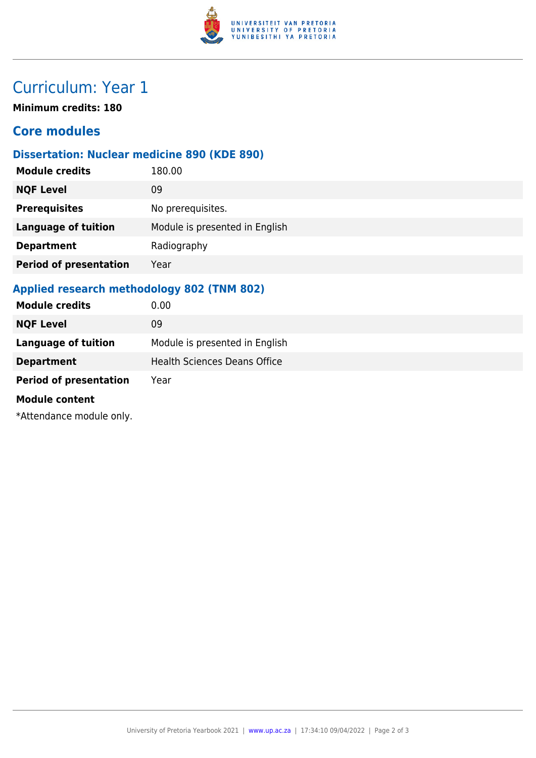

## Curriculum: Year 1

**Minimum credits: 180**

### **Core modules**

#### **Dissertation: Nuclear medicine 890 (KDE 890)**

| <b>Module credits</b>         | 180.00                         |
|-------------------------------|--------------------------------|
| <b>NQF Level</b>              | 09                             |
| <b>Prerequisites</b>          | No prerequisites.              |
| <b>Language of tuition</b>    | Module is presented in English |
| <b>Department</b>             | Radiography                    |
| <b>Period of presentation</b> | Year                           |
|                               |                                |

#### **Applied research methodology 802 (TNM 802)**

| <b>Module credits</b>         | 0.00                                |
|-------------------------------|-------------------------------------|
| <b>NQF Level</b>              | 09                                  |
| <b>Language of tuition</b>    | Module is presented in English      |
| <b>Department</b>             | <b>Health Sciences Deans Office</b> |
| <b>Period of presentation</b> | Year                                |
| <b>Module content</b>         |                                     |
| *Attendance module only.      |                                     |